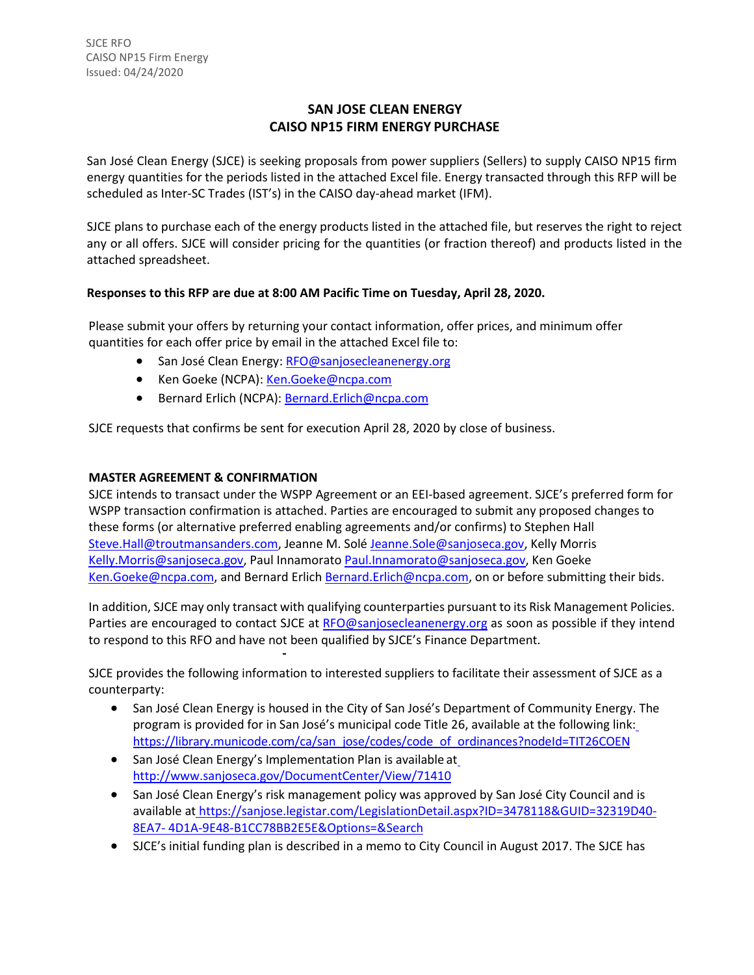# **SAN JOSE CLEAN ENERGY CAISO NP15 FIRM ENERGY PURCHASE**

San José Clean Energy (SJCE) is seeking proposals from power suppliers (Sellers) to supply CAISO NP15 firm energy quantities for the periods listed in the attached Excel file. Energy transacted through this RFP will be scheduled as Inter-SC Trades (IST's) in the CAISO day-ahead market (IFM).

SJCE plans to purchase each of the energy products listed in the attached file, but reserves the right to reject any or all offers. SJCE will consider pricing for the quantities (or fraction thereof) and products listed in the attached spreadsheet.

## **Responses to this RFP are due at 8:00 AM Pacific Time on Tuesday, April 28, 2020.**

Please submit your offers by returning your contact information, offer prices, and minimum offer quantities for each offer price by email in the attached Excel file to:

- San José Clean Energy: [RFO@sanjosecleanenergy.org](mailto:RFO@sanjosecleanenergy.org)
- Ken Goeke (NCPA): [Ken.Goeke@ncpa.com](mailto:Ken.Goeke@ncpa.com)
- Bernard Erlich (NCPA): [Bernard.Erlich@ncpa.com](mailto:Bernard.Erlich@ncpa.com)

SJCE requests that confirms be sent for execution April 28, 2020 by close of business.

## **MASTER AGREEMENT & CONFIRMATION**

SJCE intends to transact under the WSPP Agreement or an EEI-based agreement. SJCE's preferred form for WSPP transaction confirmation is attached. Parties are encouraged to submit any proposed changes to these forms (or alternative preferred enabling agreements and/or confirms) to Stephen Hall [Steve.Hall@troutmansanders.com, J](mailto:Steve.Hall@troutmansanders.com)eanne M. Solé [Jeanne.Sole@sanjoseca.gov,](mailto:Jeanne.Sole@sanjoseca.gov) Kelly Morris [Kelly.Morris@sanjoseca.gov,](mailto:Kelly.Morris@sanjoseca.gov) Paul Innamorato [Paul.Innamorato@sanjoseca.gov,](mailto:Paul.Innamorato@sanjoseca.gov) Ken Goeke [Ken.Goeke@ncpa.com,](mailto:Ken.Goeke@ncpa.com) and Bernard Erlich [Bernard.Erlich@ncpa.com,](mailto:Bernard.Erlich@ncpa.com) on or before submitting their bids.

In addition, SJCE may only transact with qualifying counterparties pursuant to its Risk Management Policies. Parties are encouraged to contact SJCE at [RFO@sanjosecleanenergy.org](mailto:RFO@sanjosecleanenergy.org) as soon as possible if they intend to respond to this RFO and have not been qualified by SJCE's Finance Department.

SJCE provides the following information to interested suppliers to facilitate their assessment of SJCE as a counterparty:

- San José Clean Energy is housed in the City of San José's Department of Community Energy. The program is provided for in San José's municipal code Title 26, available at the following link: [https://library.municode.com/ca/san\\_jose/codes/code\\_of\\_ordinances?nodeId=TIT26COEN](https://library.municode.com/ca/san_jose/codes/code_of_ordinances?nodeId=TIT26COEN)
- San José Clean Energy's Implementation Plan is available a[t](http://www.sanjoseca.gov/DocumentCenter/View/71410) <http://www.sanjoseca.gov/DocumentCenter/View/71410>
- San José Clean Energy's risk management policy was approved by San José City Council and is available at [https://sanjose.legistar.com/LegislationDetail.aspx?ID=3478118&GUID=32319D40-](https://sanjose.legistar.com/LegislationDetail.aspx?ID=3478118&GUID=32319D40-8EA7-4D1A-9E48-B1CC78BB2E5E&Options&Search) [8EA7-](https://sanjose.legistar.com/LegislationDetail.aspx?ID=3478118&GUID=32319D40-8EA7-4D1A-9E48-B1CC78BB2E5E&Options&Search) [4D1A-9E48-B1CC78BB2E5E&Options=&Search](https://sanjose.legistar.com/LegislationDetail.aspx?ID=3478118&GUID=32319D40-8EA7-4D1A-9E48-B1CC78BB2E5E&Options&Search)
- SJCE's initial funding plan is described in a memo to City Council in August 2017. The SJCE has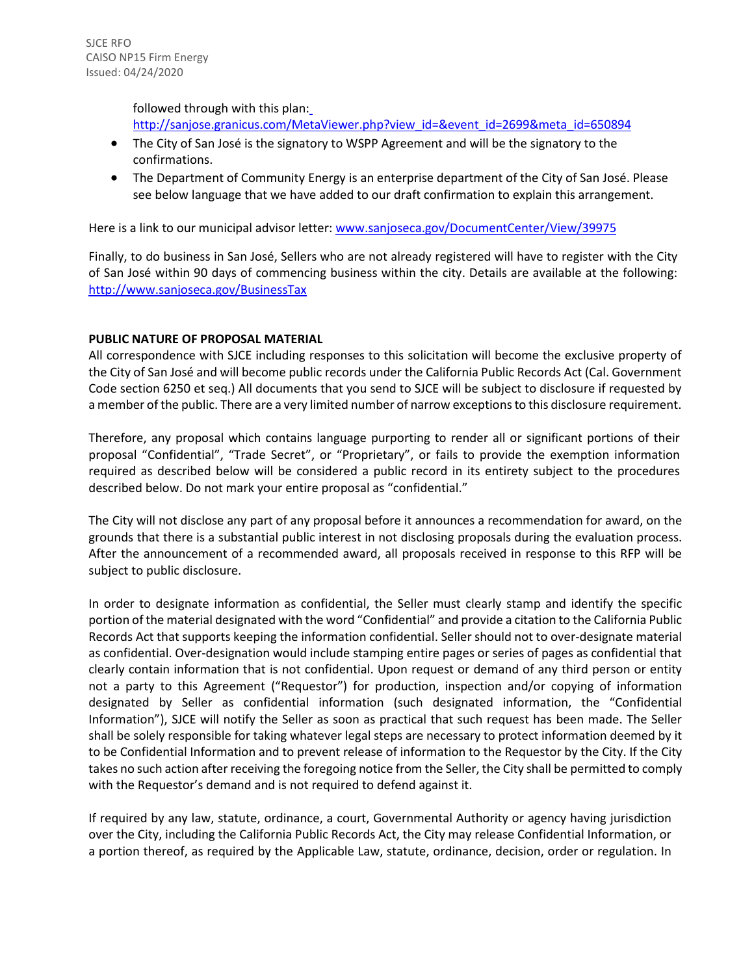followed through with this plan: [http://sanjose.granicus.com/MetaViewer.php?view\\_id=&event\\_id=2699&meta\\_id=650894](http://sanjose.granicus.com/MetaViewer.php?view_id&event_id=2699&meta_id=650894)

- The City of San José is the signatory to WSPP Agreement and will be the signatory to the confirmations.
- The Department of Community Energy is an enterprise department of the City of San José. Please see below language that we have added to our draft confirmation to explain this arrangement.

Here is a link to our municipal advisor letter[: www.sanjoseca.gov/DocumentCenter/View/39975](http://www.sanjoseca.gov/DocumentCenter/View/39975)

Finally, to do business in San José, Sellers who are not already registered will have to register with the City of San José within 90 days of commencing business within the city. Details are available at the following: <http://www.sanjoseca.gov/BusinessTax>

#### **PUBLIC NATURE OF PROPOSAL MATERIAL**

All correspondence with SJCE including responses to this solicitation will become the exclusive property of the City of San José and will become public records under the California Public Records Act (Cal. Government Code section 6250 et seq.) All documents that you send to SJCE will be subject to disclosure if requested by a member of the public. There are a very limited number of narrow exceptions to this disclosure requirement.

Therefore, any proposal which contains language purporting to render all or significant portions of their proposal "Confidential", "Trade Secret", or "Proprietary", or fails to provide the exemption information required as described below will be considered a public record in its entirety subject to the procedures described below. Do not mark your entire proposal as "confidential."

The City will not disclose any part of any proposal before it announces a recommendation for award, on the grounds that there is a substantial public interest in not disclosing proposals during the evaluation process. After the announcement of a recommended award, all proposals received in response to this RFP will be subject to public disclosure.

In order to designate information as confidential, the Seller must clearly stamp and identify the specific portion of the material designated with the word "Confidential" and provide a citation to the California Public Records Act that supports keeping the information confidential. Seller should not to over-designate material as confidential. Over-designation would include stamping entire pages or series of pages as confidential that clearly contain information that is not confidential. Upon request or demand of any third person or entity not a party to this Agreement ("Requestor") for production, inspection and/or copying of information designated by Seller as confidential information (such designated information, the "Confidential Information"), SJCE will notify the Seller as soon as practical that such request has been made. The Seller shall be solely responsible for taking whatever legal steps are necessary to protect information deemed by it to be Confidential Information and to prevent release of information to the Requestor by the City. If the City takes no such action after receiving the foregoing notice from the Seller, the City shall be permitted to comply with the Requestor's demand and is not required to defend against it.

If required by any law, statute, ordinance, a court, Governmental Authority or agency having jurisdiction over the City, including the California Public Records Act, the City may release Confidential Information, or a portion thereof, as required by the Applicable Law, statute, ordinance, decision, order or regulation. In